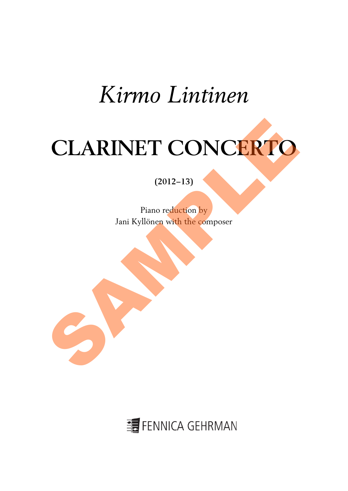## *Kirmo Lintinen*

## **CLARINET CONCERTO** CLARINET CONCERTO

**(2012−13)**

Piano reduction by Jani Kyllönen with the composer

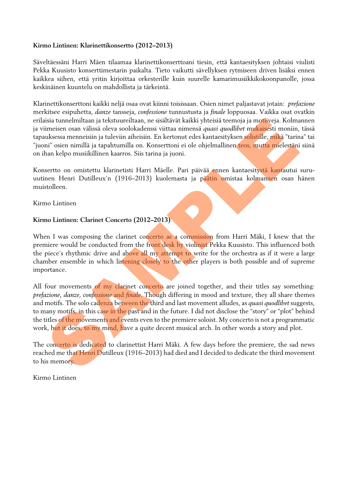## **Kirmo Lintinen: Klarinettikonsertto (2012–2013)**

Säveltäessäni Harri Mäen tilaamaa klarinettikonserttoani tiesin, että kantaesityksen johtaisi viulisti Pekka Kuusisto konserttimestarin paikalta. Tieto vaikutti sävellyksen rytmiseen driven lisäksi ennen kaikkea siihen, että yritin kirjoittaa orkesterille kuin suurelle kamarimusiikkikokoonpanolle, jossa keskinäinen kuuntelu on mahdollista ja tärkeintä.

Klarinettikonserttoni kaikki neljä osaa ovat kiinni toisissaan. Osien nimet paljastavat jotain: *prefazione* merkitsee esipuhetta, *danze* tansseja, *confessione* tunnustusta ja *finale* loppuosaa. Vaikka osat ovatkin erilaisia tunnelmiltaan ja tekstuureiltaan, ne sisältävät kaikki yhteisiä teemoja ja motiiveja. Kolmannen ja viimeisen osan välissä oleva soolokadenssi viittaa nimensä *quasi quodlibet* mukaisesti moniin, tässä tapauksessa menneisiin ja tuleviin aiheisiin. En kertonut edes kantaesityksen solistille, mikä "tarina" tai "juoni" osien nimillä ja tapahtumilla on. Konserttoni ei ole ohjelmallinen teos, mutta mielestäni siinä on ihan kelpo musiikillinen kaarros. Siis tarina ja juoni.

Konsertto on omistettu klarinetisti Harri Mäelle. Pari päivää ennen kantaesitystä kantautui suruuutinen Henri Dutilleux'n (1916–2013) kuolemasta ja päätin omistaa kolmannen osan hänen muistolleen.

Kirmo Lintinen

## **Kirmo Lintinen: Clarinet Concerto (2012–2013)**

When I was composing the clarinet concerto as a commission from Harri Mäki, I knew that the premiere would be conducted from the front desk by violinist Pekka Kuusisto. This influenced both the piece's rhythmic drive and above all my attempt to write for the orchestra as if it were a large chamber ensemble in which listening closely to the other players is both possible and of supreme importance.

All four movements of my clarinet concerto are joined together, and their titles say something: *prefazione*, *danze*, *confessione* and *finale*. Though differing in mood and texture, they all share themes and motifs. The solo cadenza between the third and last movement alludes, as *quasi quodlibet* suggests, to many motifs, in this case in the past and in the future. I did not disclose the "story" or "plot" behind the titles of the movements and events even to the premiere soloist. My concerto is not a programmatic work, but it does, to my mind, have a quite decent musical arch. In other words a story and plot. isia tunnelmikaan ja tekstuureiltaan, ne säältävät kaikki yhteisää teemoja ja motiiveja. Kolman<br>imeisen osan välissä oleva soolokadenssi viittaa nimensä *quasi* q*uasi quadlibet* mukaisesti moniin,<br>uksessa menneisiin ja tu

The concerto is dedicated to clarinettist Harri Mäki. A few days before the premiere, the sad news reached me that Henri Dutilleux (1916–2013) had died and I decided to dedicate the third movement to his memory.

Kirmo Lintinen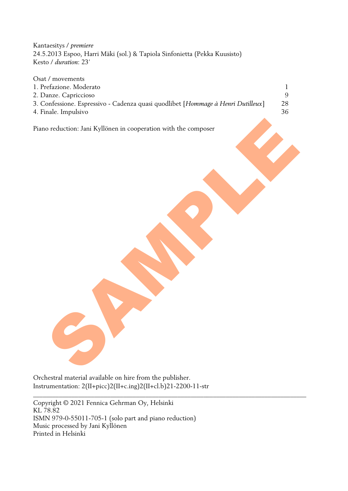Kantaesitys / *premiere* 24.5.2013 Espoo, Harri Mäki (sol.) & Tapiola Sinfonietta (Pekka Kuusisto) Kesto / *duration*: 23'

| Osat / movements                                                                 |     |
|----------------------------------------------------------------------------------|-----|
| 1. Prefazione. Moderato                                                          |     |
| 2. Danze. Capriccioso                                                            |     |
| 3. Confessione. Espressivo - Cadenza quasi quodlibet [Hommage à Henri Dutilleux] | 28  |
| 4. Finale. Impulsivo                                                             | 36. |
|                                                                                  |     |

Piano reduction: Jani Kyllönen in cooperation with the composer o reduction: Jani Kyllönen in cooperation with the composer

Orchestral material available on hire from the publisher. Instrumentation: 2(II+picc)2(II+c.ing)2(II+cl.b)21-2200-11-str

**\_\_\_\_\_\_\_\_\_\_\_\_\_\_\_\_\_\_\_\_\_\_\_\_\_\_\_\_\_\_\_\_\_\_\_\_\_\_\_\_\_\_\_\_\_\_\_\_\_\_\_\_\_\_\_\_\_\_\_\_\_\_\_\_\_\_\_\_\_\_\_\_\_\_\_\_\_\_\_\_\_\_\_\_\_**

Copyright © 2021 Fennica Gehrman Oy, Helsinki KL 78.82 ISMN 979-0-55011-705-1 (solo part and piano reduction) Music processed by Jani Kyllönen Printed in Helsinki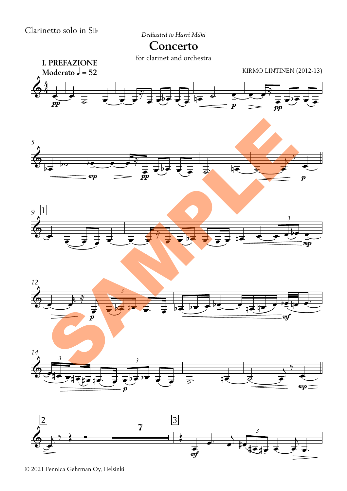*Dedicated to Harri Mäki*

**Concerto**

for clarinet and orchestra



<sup>© 2021</sup> Fennica Gehrman Oy, Helsinki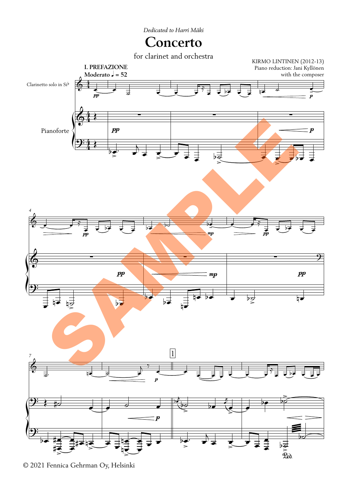*Dedicated to Harri Mäki*

**Concerto**

for clarinet and orchestra



<sup>© 2021</sup> Fennica Gehrman Oy, Helsinki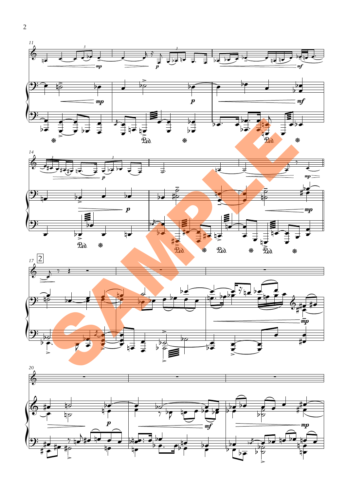





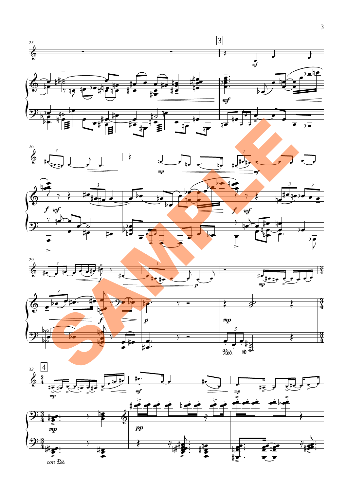